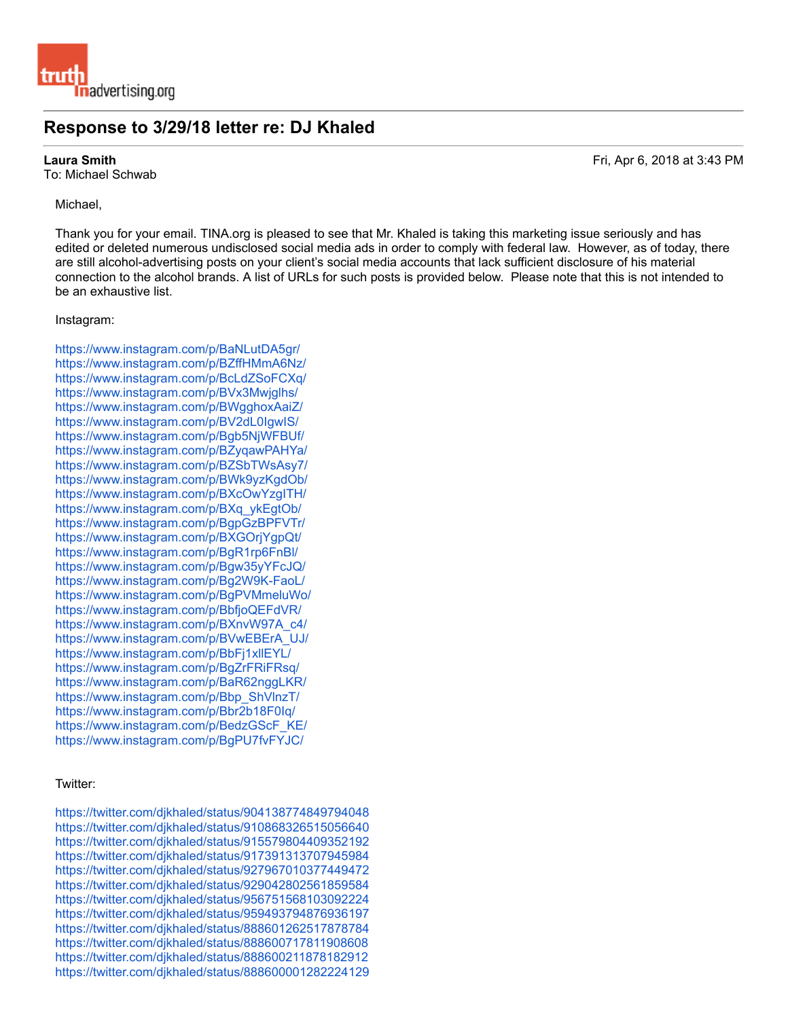# **Response to 3/29/18 letter re: DJ Khaled**

To: Michael Schwab

# Michael,

Thank you for your email. TINA.org is pleased to see that Mr. Khaled is taking this marketing issue seriously and has edited or deleted numerous undisclosed social media ads in order to comply with federal law. However, as of today, there are still alcohol-advertising posts on your client's social media accounts that lack sufficient disclosure of his material connection to the alcohol brands. A list of URLs for such posts is provided below. Please note that this is not intended to be an exhaustive list.

## Instagram:

https://www.instagram.com/p/BaNLutDA5gr/ https://www.instagram.com/p/BZffHMmA6Nz/ https://www.instagram.com/p/BcLdZSoFCXq/ https://www.instagram.com/p/BVx3Mwjglhs/ https://www.instagram.com/p/BWgghoxAaiZ/ https://www.instagram.com/p/BV2dL0IgwIS/ https://www.instagram.com/p/Bgb5NjWFBUf/ https://www.instagram.com/p/BZyqawPAHYa/ https://www.instagram.com/p/BZSbTWsAsy7/ https://www.instagram.com/p/BWk9yzKgdOb/ https://www.instagram.com/p/BXcOwYzgITH/ https://www.instagram.com/p/BXq\_ykEgtOb/ https://www.instagram.com/p/BgpGzBPFVTr/ https://www.instagram.com/p/BXGOrjYgpQt/ https://www.instagram.com/p/BgR1rp6FnBl/ https://www.instagram.com/p/Bgw35yYFcJQ/ https://www.instagram.com/p/Bg2W9K-FaoL/ https://www.instagram.com/p/BgPVMmeluWo/ https://www.instagram.com/p/BbfjoQEFdVR/ https://www.instagram.com/p/BXnvW97A\_c4/ https://www.instagram.com/p/BVwEBErA\_UJ/ https://www.instagram.com/p/BbFj1xllEYL/ https://www.instagram.com/p/BgZrFRiFRsq/ https://www.instagram.com/p/BaR62nggLKR/ https://www.instagram.com/p/Bbp\_ShVlnzT/ https://www.instagram.com/p/Bbr2b18F0Iq/ https://www.instagram.com/p/BedzGScF\_KE/ https://www.instagram.com/p/BgPU7fvFYJC/

## Twitter:

https://twitter.com/djkhaled/status/904138774849794048 https://twitter.com/djkhaled/status/910868326515056640 https://twitter.com/djkhaled/status/915579804409352192 https://twitter.com/djkhaled/status/917391313707945984 https://twitter.com/djkhaled/status/927967010377449472 https://twitter.com/djkhaled/status/929042802561859584 https://twitter.com/djkhaled/status/956751568103092224 https://twitter.com/djkhaled/status/959493794876936197 https://twitter.com/djkhaled/status/888601262517878784 https://twitter.com/djkhaled/status/888600717811908608 https://twitter.com/djkhaled/status/888600211878182912 https://twitter.com/djkhaled/status/888600001282224129

**Laura Smith**  Fri, Apr 6, 2018 at 3:43 PM